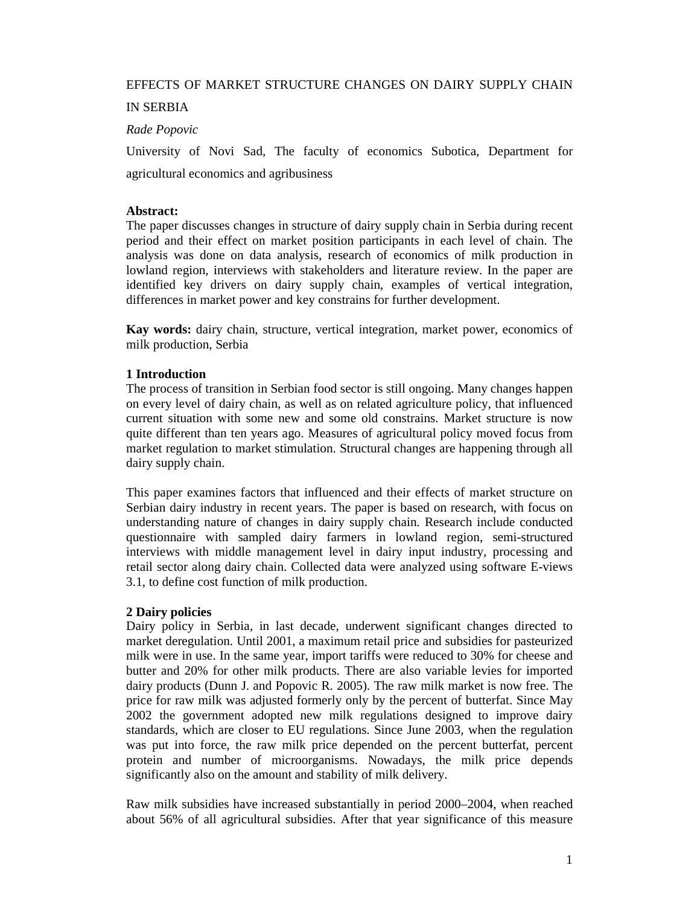# EFFECTS OF MARKET STRUCTURE CHANGES ON DAIRY SUPPLY CHAIN

# IN SERBIA

### *Rade Popovic*

University of Novi Sad, The faculty of economics Subotica, Department for agricultural economics and agribusiness

### **Abstract:**

The paper discusses changes in structure of dairy supply chain in Serbia during recent period and their effect on market position participants in each level of chain. The analysis was done on data analysis, research of economics of milk production in lowland region, interviews with stakeholders and literature review. In the paper are identified key drivers on dairy supply chain, examples of vertical integration, differences in market power and key constrains for further development.

**Kay words:** dairy chain, structure, vertical integration, market power, economics of milk production, Serbia

### **1 Introduction**

The process of transition in Serbian food sector is still ongoing. Many changes happen on every level of dairy chain, as well as on related agriculture policy, that influenced current situation with some new and some old constrains. Market structure is now quite different than ten years ago. Measures of agricultural policy moved focus from market regulation to market stimulation. Structural changes are happening through all dairy supply chain.

This paper examines factors that influenced and their effects of market structure on Serbian dairy industry in recent years. The paper is based on research, with focus on understanding nature of changes in dairy supply chain. Research include conducted questionnaire with sampled dairy farmers in lowland region, semi-structured interviews with middle management level in dairy input industry, processing and retail sector along dairy chain. Collected data were analyzed using software E-views 3.1, to define cost function of milk production.

### **2 Dairy policies**

Dairy policy in Serbia, in last decade, underwent significant changes directed to market deregulation. Until 2001, a maximum retail price and subsidies for pasteurized milk were in use. In the same year, import tariffs were reduced to 30% for cheese and butter and 20% for other milk products. There are also variable levies for imported dairy products (Dunn J. and Popovic R. 2005). The raw milk market is now free. The price for raw milk was adjusted formerly only by the percent of butterfat. Since May 2002 the government adopted new milk regulations designed to improve dairy standards, which are closer to EU regulations. Since June 2003, when the regulation was put into force, the raw milk price depended on the percent butterfat, percent protein and number of microorganisms. Nowadays, the milk price depends significantly also on the amount and stability of milk delivery.

Raw milk subsidies have increased substantially in period 2000–2004, when reached about 56% of all agricultural subsidies. After that year significance of this measure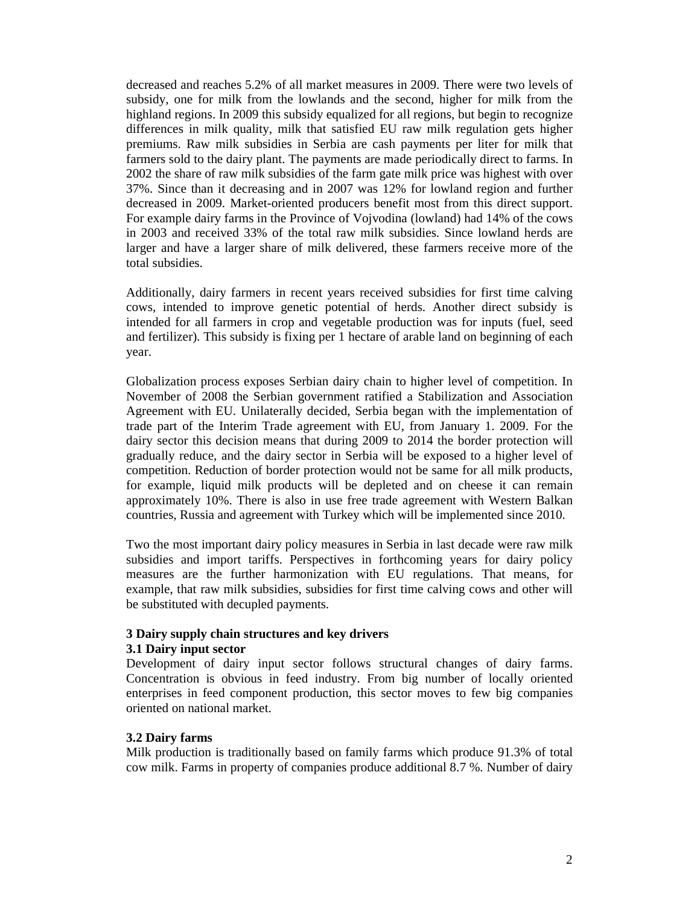decreased and reaches 5.2% of all market measures in 2009. There were two levels of subsidy, one for milk from the lowlands and the second, higher for milk from the highland regions. In 2009 this subsidy equalized for all regions, but begin to recognize differences in milk quality, milk that satisfied EU raw milk regulation gets higher premiums. Raw milk subsidies in Serbia are cash payments per liter for milk that farmers sold to the dairy plant. The payments are made periodically direct to farms. In 2002 the share of raw milk subsidies of the farm gate milk price was highest with over 37%. Since than it decreasing and in 2007 was 12% for lowland region and further decreased in 2009. Market-oriented producers benefit most from this direct support. For example dairy farms in the Province of Vojvodina (lowland) had 14% of the cows in 2003 and received 33% of the total raw milk subsidies. Since lowland herds are larger and have a larger share of milk delivered, these farmers receive more of the total subsidies.

Additionally, dairy farmers in recent years received subsidies for first time calving cows, intended to improve genetic potential of herds. Another direct subsidy is intended for all farmers in crop and vegetable production was for inputs (fuel, seed and fertilizer). This subsidy is fixing per 1 hectare of arable land on beginning of each year.

Globalization process exposes Serbian dairy chain to higher level of competition. In November of 2008 the Serbian government ratified a Stabilization and Association Agreement with EU. Unilaterally decided, Serbia began with the implementation of trade part of the Interim Trade agreement with EU, from January 1. 2009. For the dairy sector this decision means that during 2009 to 2014 the border protection will gradually reduce, and the dairy sector in Serbia will be exposed to a higher level of competition. Reduction of border protection would not be same for all milk products, for example, liquid milk products will be depleted and on cheese it can remain approximately 10%. There is also in use free trade agreement with Western Balkan countries, Russia and agreement with Turkey which will be implemented since 2010.

Two the most important dairy policy measures in Serbia in last decade were raw milk subsidies and import tariffs. Perspectives in forthcoming years for dairy policy measures are the further harmonization with EU regulations. That means, for example, that raw milk subsidies, subsidies for first time calving cows and other will be substituted with decupled payments.

#### **3 Dairy supply chain structures and key drivers 3.1 Dairy input sector**

Development of dairy input sector follows structural changes of dairy farms. Concentration is obvious in feed industry. From big number of locally oriented enterprises in feed component production, this sector moves to few big companies oriented on national market.

# **3.2 Dairy farms**

Milk production is traditionally based on family farms which produce 91.3% of total cow milk. Farms in property of companies produce additional 8.7 %. Number of dairy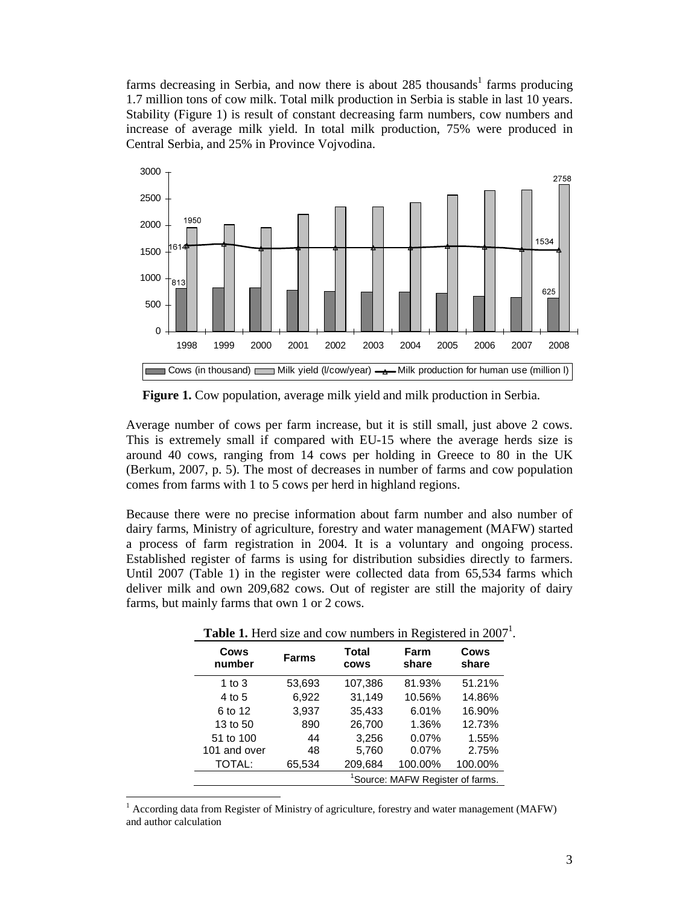farms decreasing in Serbia, and now there is about  $285$  thousands<sup>1</sup> farms producing 1.7 million tons of cow milk. Total milk production in Serbia is stable in last 10 years. Stability (Figure 1) is result of constant decreasing farm numbers, cow numbers and increase of average milk yield. In total milk production, 75% were produced in Central Serbia, and 25% in Province Vojvodina.



 **Figure 1.** Cow population, average milk yield and milk production in Serbia.

Average number of cows per farm increase, but it is still small, just above 2 cows. This is extremely small if compared with EU-15 where the average herds size is around 40 cows, ranging from 14 cows per holding in Greece to 80 in the UK (Berkum, 2007, p. 5). The most of decreases in number of farms and cow population comes from farms with 1 to 5 cows per herd in highland regions.

Because there were no precise information about farm number and also number of dairy farms, Ministry of agriculture, forestry and water management (MAFW) started a process of farm registration in 2004. It is a voluntary and ongoing process. Established register of farms is using for distribution subsidies directly to farmers. Until 2007 (Table 1) in the register were collected data from 65,534 farms which deliver milk and own 209,682 cows. Out of register are still the majority of dairy farms, but mainly farms that own 1 or 2 cows.

| <b>THERE IS THERE</b> SIZE and COW HUMBOLS IN INSTRUCTOR IN 2007 |                                              |                                              |         |               |  |  |
|------------------------------------------------------------------|----------------------------------------------|----------------------------------------------|---------|---------------|--|--|
| Cows<br>number                                                   | <b>Farms</b>                                 | <b>Total</b><br>Farm<br>share<br><b>COWS</b> |         | Cows<br>share |  |  |
| 1 to $3$                                                         | 53,693                                       | 107,386                                      | 81.93%  | 51.21%        |  |  |
| 4 to 5                                                           | 6,922                                        | 31,149                                       | 10.56%  | 14.86%        |  |  |
| 6 to 12                                                          | 3.937                                        | 35,433                                       | 6.01%   | 16.90%        |  |  |
| 13 to 50                                                         | 890                                          | 26.700                                       | 1.36%   | 12.73%        |  |  |
| 51 to 100                                                        | 44                                           | 3,256                                        | 0.07%   | 1.55%         |  |  |
| 101 and over                                                     | 48                                           | 5,760                                        | 0.07%   | 2.75%         |  |  |
| TOTAL:                                                           | 65,534                                       | 209,684                                      | 100.00% | 100.00%       |  |  |
|                                                                  | <sup>1</sup> Source: MAFW Register of farms. |                                              |         |               |  |  |

**Table 1.** Herd size and cow numbers in Registered in 2007<sup>1</sup>.

 $\overline{a}$ 

<sup>&</sup>lt;sup>1</sup> According data from Register of Ministry of agriculture, forestry and water management (MAFW) and author calculation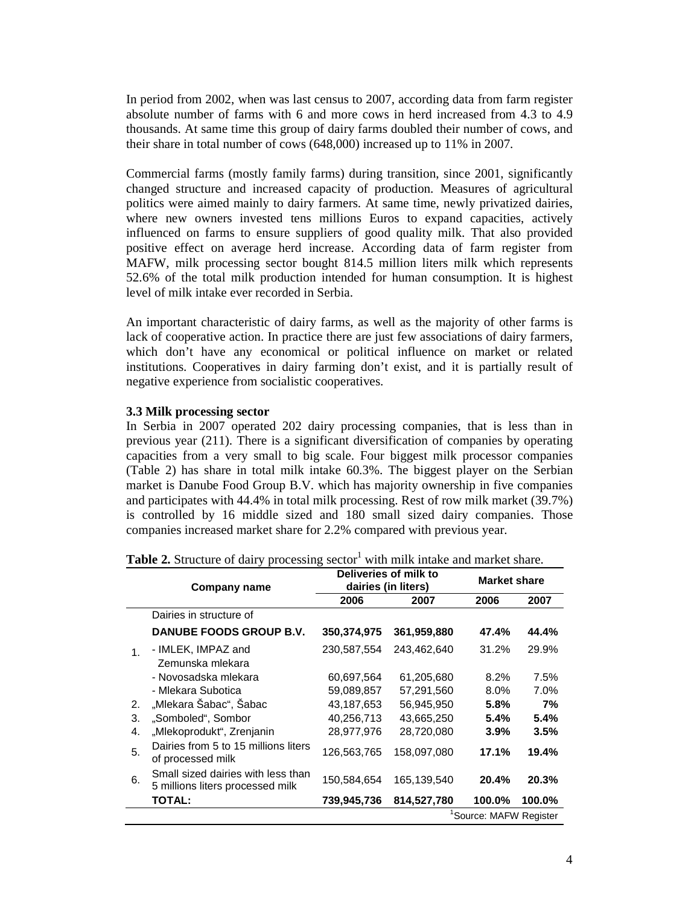In period from 2002, when was last census to 2007, according data from farm register absolute number of farms with 6 and more cows in herd increased from 4.3 to 4.9 thousands. At same time this group of dairy farms doubled their number of cows, and their share in total number of cows (648,000) increased up to 11% in 2007.

Commercial farms (mostly family farms) during transition, since 2001, significantly changed structure and increased capacity of production. Measures of agricultural politics were aimed mainly to dairy farmers. At same time, newly privatized dairies, where new owners invested tens millions Euros to expand capacities, actively influenced on farms to ensure suppliers of good quality milk. That also provided positive effect on average herd increase. According data of farm register from MAFW, milk processing sector bought 814.5 million liters milk which represents 52.6% of the total milk production intended for human consumption. It is highest level of milk intake ever recorded in Serbia.

An important characteristic of dairy farms, as well as the majority of other farms is lack of cooperative action. In practice there are just few associations of dairy farmers, which don't have any economical or political influence on market or related institutions. Cooperatives in dairy farming don't exist, and it is partially result of negative experience from socialistic cooperatives.

### **3.3 Milk processing sector**

In Serbia in 2007 operated 202 dairy processing companies, that is less than in previous year (211). There is a significant diversification of companies by operating capacities from a very small to big scale. Four biggest milk processor companies (Table 2) has share in total milk intake 60.3%. The biggest player on the Serbian market is Danube Food Group B.V. which has majority ownership in five companies and participates with 44.4% in total milk processing. Rest of row milk market (39.7%) is controlled by 16 middle sized and 180 small sized dairy companies. Those companies increased market share for 2.2% compared with previous year.

|                | Company name                                                           | Deliveries of milk to<br>dairies (in liters) |             | <b>Market share</b> |        |
|----------------|------------------------------------------------------------------------|----------------------------------------------|-------------|---------------------|--------|
|                |                                                                        | 2006                                         | 2007        | 2006                | 2007   |
|                | Dairies in structure of                                                |                                              |             |                     |        |
|                | DANUBE FOODS GROUP B.V.                                                | 350,374,975                                  | 361,959,880 | 47.4%               | 44.4%  |
| 1 <sub>1</sub> | - IMLEK, IMPAZ and                                                     | 230,587,554                                  | 243,462,640 | 31.2%               | 29.9%  |
|                | Zemunska mlekara                                                       |                                              |             |                     |        |
|                | - Novosadska mlekara                                                   | 60,697,564                                   | 61,205,680  | $8.2\%$             | 7.5%   |
|                | - Mlekara Subotica                                                     | 59.089.857                                   | 57,291,560  | $8.0\%$             | 7.0%   |
| 2.             | "Mlekara Šabac", Šabac                                                 | 43,187,653                                   | 56,945,950  | 5.8%                | 7%     |
| 3.             | "Somboled", Sombor                                                     | 40,256,713                                   | 43,665,250  | 5.4%                | 5.4%   |
| 4.             | "Mlekoprodukt", Zrenjanin                                              | 28,977,976                                   | 28,720,080  | $3.9\%$             | 3.5%   |
| 5.             | Dairies from 5 to 15 millions liters<br>of processed milk              | 126,563,765                                  | 158,097,080 | 17.1%               | 19.4%  |
| 6.             | Small sized dairies with less than<br>5 millions liters processed milk | 150,584,654                                  | 165,139,540 | 20.4%               | 20.3%  |
|                | <b>TOTAL:</b>                                                          | 739,945,736                                  | 814,527,780 | 100.0%              | 100.0% |
|                | 'Source: MAFW Register                                                 |                                              |             |                     |        |

|  |  |  | Table 2. Structure of dairy processing sector <sup>1</sup> with milk intake and market share. |
|--|--|--|-----------------------------------------------------------------------------------------------|
|--|--|--|-----------------------------------------------------------------------------------------------|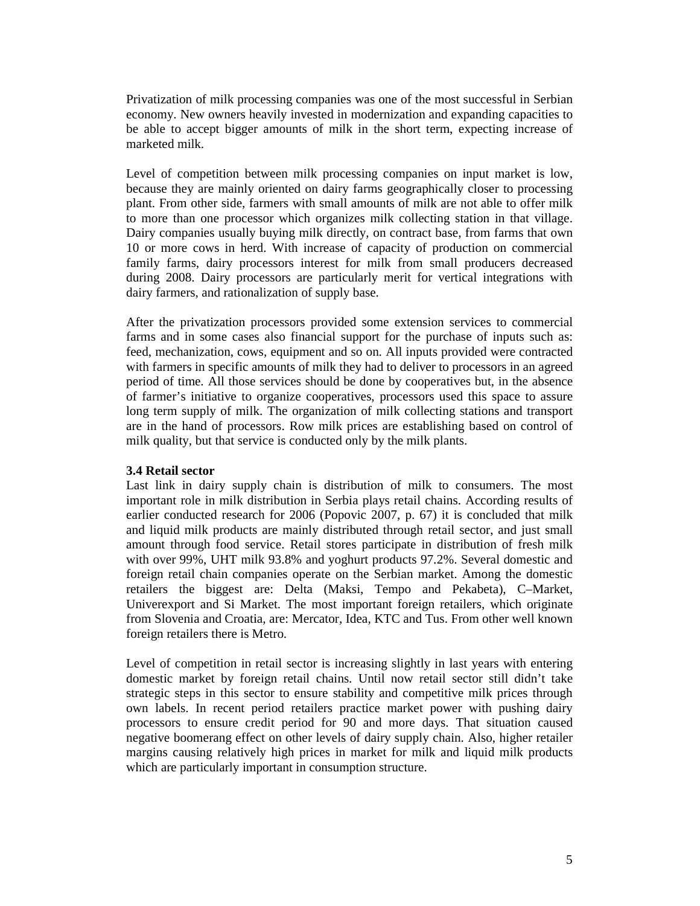Privatization of milk processing companies was one of the most successful in Serbian economy. New owners heavily invested in modernization and expanding capacities to be able to accept bigger amounts of milk in the short term, expecting increase of marketed milk.

Level of competition between milk processing companies on input market is low, because they are mainly oriented on dairy farms geographically closer to processing plant. From other side, farmers with small amounts of milk are not able to offer milk to more than one processor which organizes milk collecting station in that village. Dairy companies usually buying milk directly, on contract base, from farms that own 10 or more cows in herd. With increase of capacity of production on commercial family farms, dairy processors interest for milk from small producers decreased during 2008. Dairy processors are particularly merit for vertical integrations with dairy farmers, and rationalization of supply base.

After the privatization processors provided some extension services to commercial farms and in some cases also financial support for the purchase of inputs such as: feed, mechanization, cows, equipment and so on. All inputs provided were contracted with farmers in specific amounts of milk they had to deliver to processors in an agreed period of time. All those services should be done by cooperatives but, in the absence of farmer's initiative to organize cooperatives, processors used this space to assure long term supply of milk. The organization of milk collecting stations and transport are in the hand of processors. Row milk prices are establishing based on control of milk quality, but that service is conducted only by the milk plants.

### **3.4 Retail sector**

Last link in dairy supply chain is distribution of milk to consumers. The most important role in milk distribution in Serbia plays retail chains. According results of earlier conducted research for 2006 (Popovic 2007, p. 67) it is concluded that milk and liquid milk products are mainly distributed through retail sector, and just small amount through food service. Retail stores participate in distribution of fresh milk with over 99%, UHT milk 93.8% and yoghurt products 97.2%. Several domestic and foreign retail chain companies operate on the Serbian market. Among the domestic retailers the biggest are: Delta (Maksi, Tempo and Pekabeta), C–Market, Univerexport and Si Market. The most important foreign retailers, which originate from Slovenia and Croatia, are: Mercator, Idea, KTC and Tus. From other well known foreign retailers there is Metro.

Level of competition in retail sector is increasing slightly in last years with entering domestic market by foreign retail chains. Until now retail sector still didn't take strategic steps in this sector to ensure stability and competitive milk prices through own labels. In recent period retailers practice market power with pushing dairy processors to ensure credit period for 90 and more days. That situation caused negative boomerang effect on other levels of dairy supply chain. Also, higher retailer margins causing relatively high prices in market for milk and liquid milk products which are particularly important in consumption structure.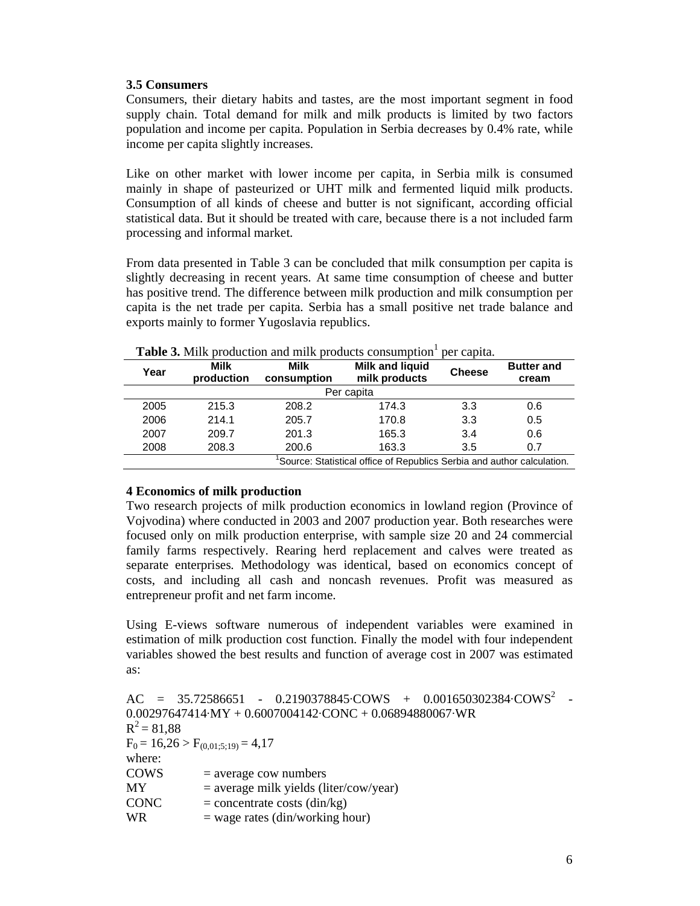# **3.5 Consumers**

Consumers, their dietary habits and tastes, are the most important segment in food supply chain. Total demand for milk and milk products is limited by two factors population and income per capita. Population in Serbia decreases by 0.4% rate, while income per capita slightly increases.

Like on other market with lower income per capita, in Serbia milk is consumed mainly in shape of pasteurized or UHT milk and fermented liquid milk products. Consumption of all kinds of cheese and butter is not significant, according official statistical data. But it should be treated with care, because there is a not included farm processing and informal market.

From data presented in Table 3 can be concluded that milk consumption per capita is slightly decreasing in recent years. At same time consumption of cheese and butter has positive trend. The difference between milk production and milk consumption per capita is the net trade per capita. Serbia has a small positive net trade balance and exports mainly to former Yugoslavia republics.

| Year                                                                   | <b>Milk</b><br>production | <b>Milk</b><br>consumption | <b>Milk and liquid</b><br>milk products | <b>Cheese</b> | <b>Butter and</b><br>cream |
|------------------------------------------------------------------------|---------------------------|----------------------------|-----------------------------------------|---------------|----------------------------|
| Per capita                                                             |                           |                            |                                         |               |                            |
| 2005                                                                   | 215.3                     | 208.2                      | 174.3                                   | 3.3           | 0.6                        |
| 2006                                                                   | 214.1                     | 205.7                      | 170.8                                   | 3.3           | 0.5                        |
| 2007                                                                   | 209.7                     | 201.3                      | 165.3                                   | 3.4           | 0.6                        |
| 2008                                                                   | 208.3                     | 200.6                      | 163.3                                   | 3.5           | 0.7                        |
| Source: Statistical office of Republics Serbia and author calculation. |                           |                            |                                         |               |                            |

**Table 3.** Milk production and milk products consumption<sup>1</sup> per capita.

# **4 Economics of milk production**

Two research projects of milk production economics in lowland region (Province of Vojvodina) where conducted in 2003 and 2007 production year. Both researches were focused only on milk production enterprise, with sample size 20 and 24 commercial family farms respectively. Rearing herd replacement and calves were treated as separate enterprises. Methodology was identical, based on economics concept of costs, and including all cash and noncash revenues. Profit was measured as entrepreneur profit and net farm income.

Using E-views software numerous of independent variables were examined in estimation of milk production cost function. Finally the model with four independent variables showed the best results and function of average cost in 2007 was estimated as:

```
AC = 35.72586651 - 0.2190378845 \cdot COWS + 0.001650302384 \cdot COWS^2 -0.00297647414·MY + 0.6007004142·CONC + 0.06894880067·WR 
R^2 = 81,88F_0 = 16,26 > F_{(0.01:5:19)} = 4,17where: 
COWS = average cow numbers
MY = average milk yields (liter/cow/year)CONC = concentrate costs (\text{din/kg})WR = wage rates (din/working hour)
```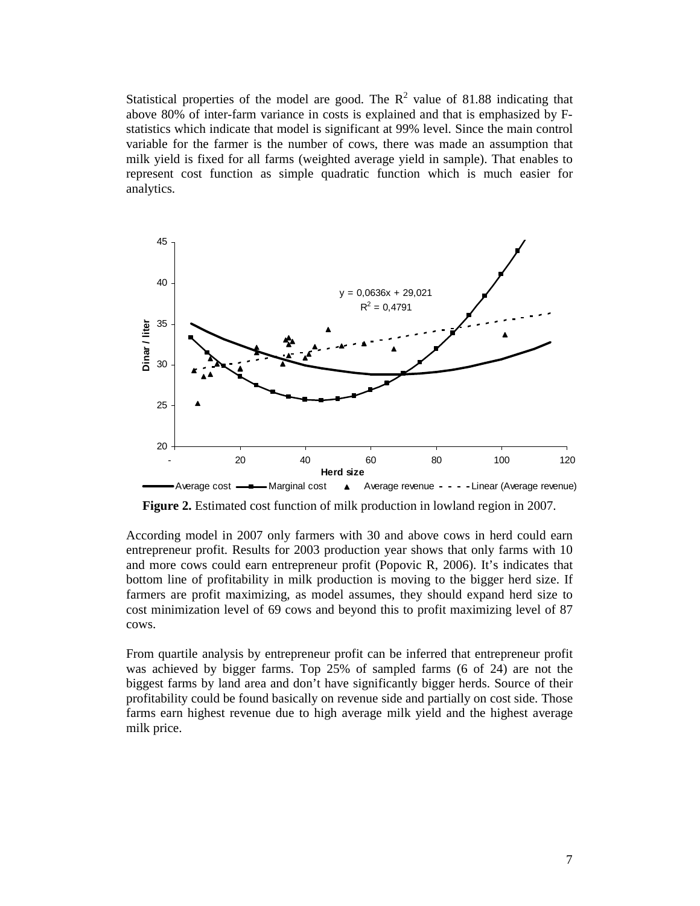Statistical properties of the model are good. The  $R^2$  value of 81.88 indicating that above 80% of inter-farm variance in costs is explained and that is emphasized by Fstatistics which indicate that model is significant at 99% level. Since the main control variable for the farmer is the number of cows, there was made an assumption that milk yield is fixed for all farms (weighted average yield in sample). That enables to represent cost function as simple quadratic function which is much easier for analytics.



 **Figure 2.** Estimated cost function of milk production in lowland region in 2007.

According model in 2007 only farmers with 30 and above cows in herd could earn entrepreneur profit. Results for 2003 production year shows that only farms with 10 and more cows could earn entrepreneur profit (Popovic R, 2006). It's indicates that bottom line of profitability in milk production is moving to the bigger herd size. If farmers are profit maximizing, as model assumes, they should expand herd size to cost minimization level of 69 cows and beyond this to profit maximizing level of 87 cows.

From quartile analysis by entrepreneur profit can be inferred that entrepreneur profit was achieved by bigger farms. Top 25% of sampled farms (6 of 24) are not the biggest farms by land area and don't have significantly bigger herds. Source of their profitability could be found basically on revenue side and partially on cost side. Those farms earn highest revenue due to high average milk yield and the highest average milk price.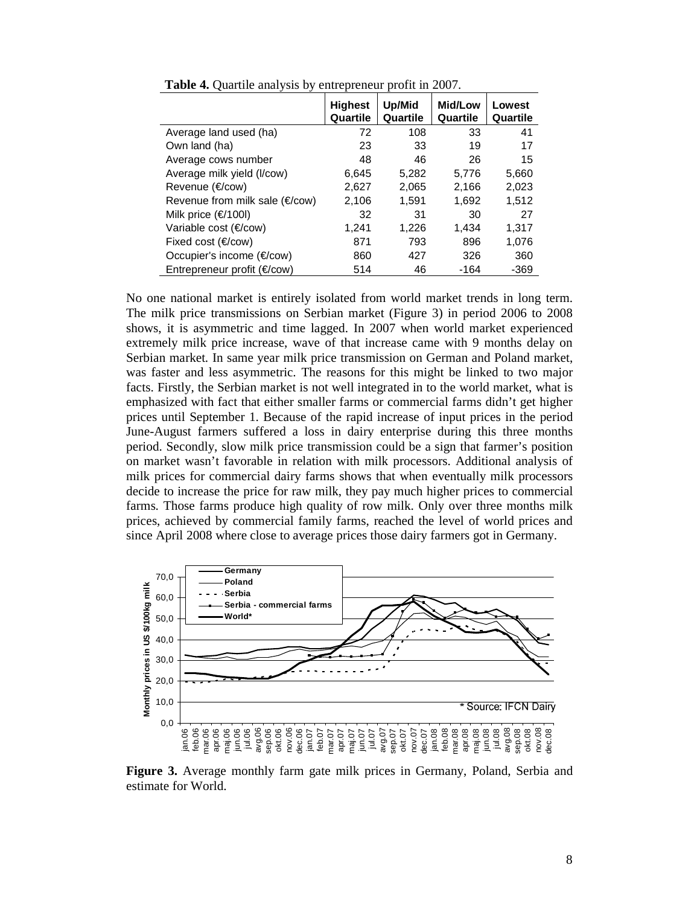|                                       | <b>Highest</b><br>Quartile | Up/Mid<br>Quartile | <b>Mid/Low</b><br>Quartile | Lowest<br>Quartile |
|---------------------------------------|----------------------------|--------------------|----------------------------|--------------------|
| Average land used (ha)                | 72                         | 108                | 33                         | 41                 |
| Own land (ha)                         | 23                         | 33                 | 19                         | 17                 |
| Average cows number                   | 48                         | 46                 | 26                         | 15                 |
| Average milk yield (I/cow)            | 6,645                      | 5,282              | 5,776                      | 5,660              |
| Revenue (€/cow)                       | 2,627                      | 2,065              | 2.166                      | 2,023              |
| Revenue from milk sale (€/cow)        | 2,106                      | 1.591              | 1,692                      | 1,512              |
| Milk price $(\in/1001)$               | 32                         | 31                 | 30                         | 27                 |
| Variable cost (€/cow)                 | 1,241                      | 1,226              | 1,434                      | 1,317              |
| Fixed cost $(\epsilon$ /cow)          | 871                        | 793                | 896                        | 1,076              |
| Occupier's income (€/cow)             | 860                        | 427                | 326                        | 360                |
| Entrepreneur profit $(\epsilon$ /cow) | 514                        | 46                 | $-164$                     | $-369$             |

**Table 4.** Ouartile analysis by entrepreneur profit in 2007.

No one national market is entirely isolated from world market trends in long term. The milk price transmissions on Serbian market (Figure 3) in period 2006 to 2008 shows, it is asymmetric and time lagged. In 2007 when world market experienced extremely milk price increase, wave of that increase came with 9 months delay on Serbian market. In same year milk price transmission on German and Poland market, was faster and less asymmetric. The reasons for this might be linked to two major facts. Firstly, the Serbian market is not well integrated in to the world market, what is emphasized with fact that either smaller farms or commercial farms didn't get higher prices until September 1. Because of the rapid increase of input prices in the period June-August farmers suffered a loss in dairy enterprise during this three months period. Secondly, slow milk price transmission could be a sign that farmer's position on market wasn't favorable in relation with milk processors. Additional analysis of milk prices for commercial dairy farms shows that when eventually milk processors decide to increase the price for raw milk, they pay much higher prices to commercial farms. Those farms produce high quality of row milk. Only over three months milk prices, achieved by commercial family farms, reached the level of world prices and since April 2008 where close to average prices those dairy farmers got in Germany.



**Figure 3.** Average monthly farm gate milk prices in Germany, Poland, Serbia and estimate for World.